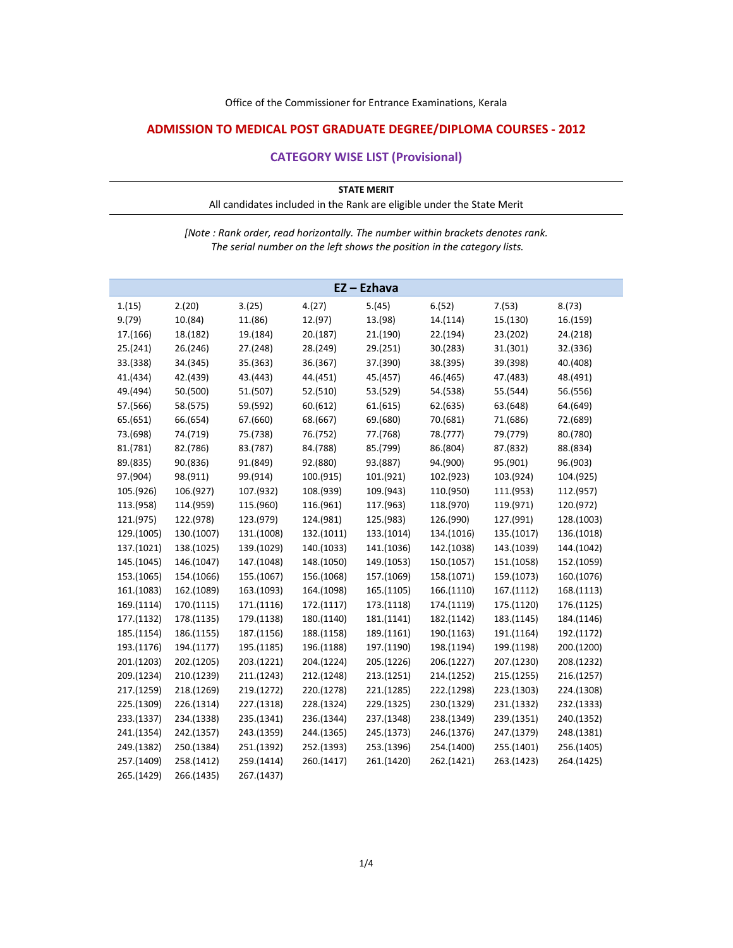## **ADMISSION TO MEDICAL POST GRADUATE DEGREE/DIPLOMA COURSES ‐ 2012**

## **CATEGORY WISE LIST (Provisional)**

| <b>STATE MERIT</b>                                                     |  |
|------------------------------------------------------------------------|--|
| All candidates included in the Rank are eligible under the State Merit |  |
|                                                                        |  |

*[Note : Rank order, read horizontally. The number within brackets denotes rank. The serial number on the left shows the position in the category lists.*

|            |            |            |            | EZ-Ezhava  |            |            |            |
|------------|------------|------------|------------|------------|------------|------------|------------|
| 1.(15)     | 2.(20)     | 3.(25)     | 4.(27)     | 5.(45)     | 6.(52)     | 7.(53)     | 8.(73)     |
| 9.(79)     | 10.(84)    | 11.(86)    | 12.(97)    | 13.(98)    | 14.(114)   | 15.(130)   | 16.(159)   |
| 17.(166)   | 18.(182)   | 19.(184)   | 20.(187)   | 21.(190)   | 22.(194)   | 23.(202)   | 24.(218)   |
| 25.(241)   | 26.(246)   | 27.(248)   | 28.(249)   | 29.(251)   | 30.(283)   | 31.(301)   | 32.(336)   |
| 33.(338)   | 34.(345)   | 35.(363)   | 36.(367)   | 37.(390)   | 38.(395)   | 39.(398)   | 40.(408)   |
| 41.(434)   | 42.(439)   | 43.(443)   | 44.(451)   | 45.(457)   | 46.(465)   | 47.(483)   | 48.(491)   |
| 49.(494)   | 50.(500)   | 51.(507)   | 52.(510)   | 53.(529)   | 54.(538)   | 55.(544)   | 56.(556)   |
| 57.(566)   | 58.(575)   | 59.(592)   | 60.(612)   | 61.(615)   | 62.(635)   | 63.(648)   | 64.(649)   |
| 65.(651)   | 66.(654)   | 67.(660)   | 68.(667)   | 69.(680)   | 70.(681)   | 71.(686)   | 72.(689)   |
| 73.(698)   | 74.(719)   | 75.(738)   | 76.(752)   | 77.(768)   | 78.(777)   | 79.(779)   | 80.(780)   |
| 81.(781)   | 82.(786)   | 83.(787)   | 84.(788)   | 85.(799)   | 86.(804)   | 87.(832)   | 88.(834)   |
| 89.(835)   | 90.(836)   | 91.(849)   | 92.(880)   | 93.(887)   | 94.(900)   | 95.(901)   | 96.(903)   |
| 97.(904)   | 98.(911)   | 99.(914)   | 100.(915)  | 101.(921)  | 102.(923)  | 103.(924)  | 104.(925)  |
| 105.(926)  | 106.(927)  | 107.(932)  | 108.(939)  | 109.(943)  | 110.(950)  | 111.(953)  | 112.(957)  |
| 113.(958)  | 114.(959)  | 115.(960)  | 116.(961)  | 117.(963)  | 118.(970)  | 119.(971)  | 120.(972)  |
| 121.(975)  | 122.(978)  | 123.(979)  | 124.(981)  | 125.(983)  | 126.(990)  | 127.(991)  | 128.(1003) |
| 129.(1005) | 130.(1007) | 131.(1008) | 132.(1011) | 133.(1014) | 134.(1016) | 135.(1017) | 136.(1018) |
| 137.(1021) | 138.(1025) | 139.(1029) | 140.(1033) | 141.(1036) | 142.(1038) | 143.(1039) | 144.(1042) |
| 145.(1045) | 146.(1047) | 147.(1048) | 148.(1050) | 149.(1053) | 150.(1057) | 151.(1058) | 152.(1059) |
| 153.(1065) | 154.(1066) | 155.(1067) | 156.(1068) | 157.(1069) | 158.(1071) | 159.(1073) | 160.(1076) |
| 161.(1083) | 162.(1089) | 163.(1093) | 164.(1098) | 165.(1105) | 166.(1110) | 167.(1112) | 168.(1113) |
| 169.(1114) | 170.(1115) | 171.(1116) | 172.(1117) | 173.(1118) | 174.(1119) | 175.(1120) | 176.(1125) |
| 177.(1132) | 178.(1135) | 179.(1138) | 180.(1140) | 181.(1141) | 182.(1142) | 183.(1145) | 184.(1146) |
| 185.(1154) | 186.(1155) | 187.(1156) | 188.(1158) | 189.(1161) | 190.(1163) | 191.(1164) | 192.(1172) |
| 193.(1176) | 194.(1177) | 195.(1185) | 196.(1188) | 197.(1190) | 198.(1194) | 199.(1198) | 200.(1200) |
| 201.(1203) | 202.(1205) | 203.(1221) | 204.(1224) | 205.(1226) | 206.(1227) | 207.(1230) | 208.(1232) |
| 209.(1234) | 210.(1239) | 211.(1243) | 212.(1248) | 213.(1251) | 214.(1252) | 215.(1255) | 216.(1257) |
| 217.(1259) | 218.(1269) | 219.(1272) | 220.(1278) | 221.(1285) | 222.(1298) | 223.(1303) | 224.(1308) |
| 225.(1309) | 226.(1314) | 227.(1318) | 228.(1324) | 229.(1325) | 230.(1329) | 231.(1332) | 232.(1333) |
| 233.(1337) | 234.(1338) | 235.(1341) | 236.(1344) | 237.(1348) | 238.(1349) | 239.(1351) | 240.(1352) |
| 241.(1354) | 242.(1357) | 243.(1359) | 244.(1365) | 245.(1373) | 246.(1376) | 247.(1379) | 248.(1381) |
| 249.(1382) | 250.(1384) | 251.(1392) | 252.(1393) | 253.(1396) | 254.(1400) | 255.(1401) | 256.(1405) |
| 257.(1409) | 258.(1412) | 259.(1414) | 260.(1417) | 261.(1420) | 262.(1421) | 263.(1423) | 264.(1425) |
| 265.(1429) | 266.(1435) | 267.(1437) |            |            |            |            |            |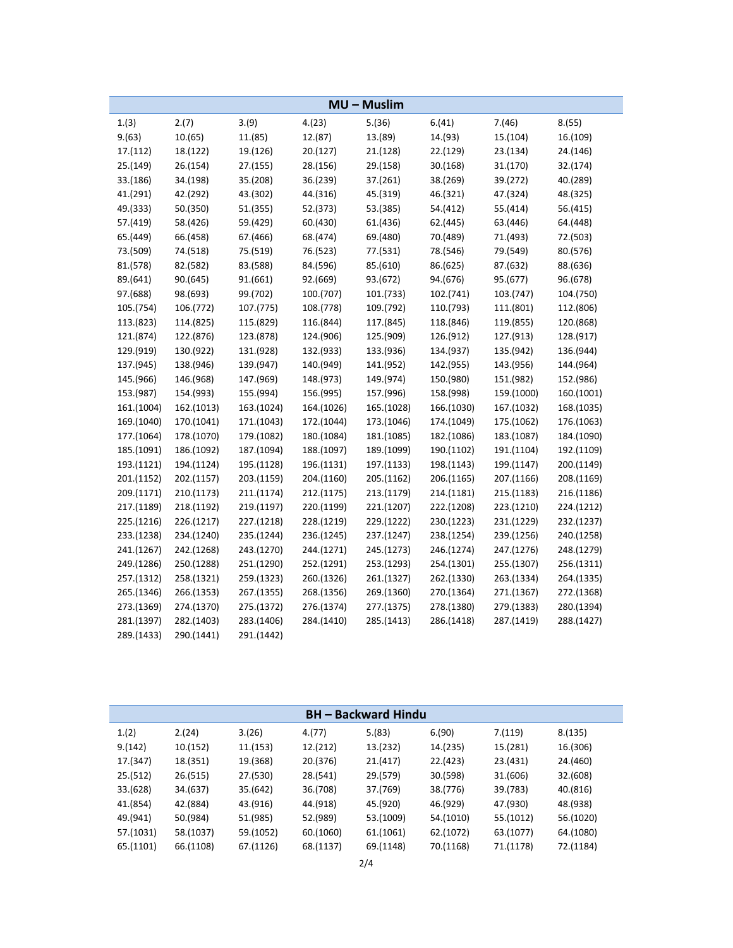|            |            |            |            | MU-Muslim  |            |            |            |
|------------|------------|------------|------------|------------|------------|------------|------------|
| 1.(3)      | 2.(7)      | 3.(9)      | 4.(23)     | 5.(36)     | 6.(41)     | 7.(46)     | 8.(55)     |
| 9.(63)     | 10.(65)    | 11.(85)    | 12.(87)    | 13.(89)    | 14.(93)    | 15.(104)   | 16.(109)   |
| 17.(112)   | 18.(122)   | 19.(126)   | 20.(127)   | 21.(128)   | 22.(129)   | 23.(134)   | 24.(146)   |
| 25.(149)   | 26.(154)   | 27.(155)   | 28.(156)   | 29.(158)   | 30.(168)   | 31.(170)   | 32.(174)   |
| 33.(186)   | 34.(198)   | 35.(208)   | 36.(239)   | 37.(261)   | 38.(269)   | 39.(272)   | 40.(289)   |
| 41.(291)   | 42.(292)   | 43.(302)   | 44.(316)   | 45.(319)   | 46.(321)   | 47.(324)   | 48.(325)   |
| 49.(333)   | 50.(350)   | 51.(355)   | 52.(373)   | 53.(385)   | 54.(412)   | 55.(414)   | 56.(415)   |
| 57.(419)   | 58.(426)   | 59.(429)   | 60.(430)   | 61.(436)   | 62.(445)   | 63.(446)   | 64.(448)   |
| 65.(449)   | 66.(458)   | 67.(466)   | 68.(474)   | 69.(480)   | 70.(489)   | 71.(493)   | 72.(503)   |
| 73.(509)   | 74.(518)   | 75.(519)   | 76.(523)   | 77.(531)   | 78.(546)   | 79.(549)   | 80.(576)   |
| 81.(578)   | 82.(582)   | 83.(588)   | 84.(596)   | 85.(610)   | 86.(625)   | 87.(632)   | 88.(636)   |
| 89.(641)   | 90.(645)   | 91.(661)   | 92.(669)   | 93.(672)   | 94.(676)   | 95.(677)   | 96.(678)   |
| 97.(688)   | 98.(693)   | 99.(702)   | 100.(707)  | 101.(733)  | 102.(741)  | 103.(747)  | 104.(750)  |
| 105.(754)  | 106.(772)  | 107.(775)  | 108.(778)  | 109.(792)  | 110.(793)  | 111.(801)  | 112.(806)  |
| 113.(823)  | 114.(825)  | 115.(829)  | 116.(844)  | 117.(845)  | 118.(846)  | 119.(855)  | 120.(868)  |
| 121.(874)  | 122.(876)  | 123.(878)  | 124.(906)  | 125.(909)  | 126.(912)  | 127.(913)  | 128.(917)  |
| 129.(919)  | 130.(922)  | 131.(928)  | 132.(933)  | 133.(936)  | 134.(937)  | 135.(942)  | 136.(944)  |
| 137.(945)  | 138.(946)  | 139.(947)  | 140.(949)  | 141.(952)  | 142.(955)  | 143.(956)  | 144.(964)  |
| 145.(966)  | 146.(968)  | 147.(969)  | 148.(973)  | 149.(974)  | 150.(980)  | 151.(982)  | 152.(986)  |
| 153.(987)  | 154.(993)  | 155.(994)  | 156.(995)  | 157.(996)  | 158.(998)  | 159.(1000) | 160.(1001) |
| 161.(1004) | 162.(1013) | 163.(1024) | 164.(1026) | 165.(1028) | 166.(1030) | 167.(1032) | 168.(1035) |
| 169.(1040) | 170.(1041) | 171.(1043) | 172.(1044) | 173.(1046) | 174.(1049) | 175.(1062) | 176.(1063) |
| 177.(1064) | 178.(1070) | 179.(1082) | 180.(1084) | 181.(1085) | 182.(1086) | 183.(1087) | 184.(1090) |
| 185.(1091) | 186.(1092) | 187.(1094) | 188.(1097) | 189.(1099) | 190.(1102) | 191.(1104) | 192.(1109) |
| 193.(1121) | 194.(1124) | 195.(1128) | 196.(1131) | 197.(1133) | 198.(1143) | 199.(1147) | 200.(1149) |
| 201.(1152) | 202.(1157) | 203.(1159) | 204.(1160) | 205.(1162) | 206.(1165) | 207.(1166) | 208.(1169) |
| 209.(1171) | 210.(1173) | 211.(1174) | 212.(1175) | 213.(1179) | 214.(1181) | 215.(1183) | 216.(1186) |
| 217.(1189) | 218.(1192) | 219.(1197) | 220.(1199) | 221.(1207) | 222.(1208) | 223.(1210) | 224.(1212) |
| 225.(1216) | 226.(1217) | 227.(1218) | 228.(1219) | 229.(1222) | 230.(1223) | 231.(1229) | 232.(1237) |
| 233.(1238) | 234.(1240) | 235.(1244) | 236.(1245) | 237.(1247) | 238.(1254) | 239.(1256) | 240.(1258) |
| 241.(1267) | 242.(1268) | 243.(1270) | 244.(1271) | 245.(1273) | 246.(1274) | 247.(1276) | 248.(1279) |
| 249.(1286) | 250.(1288) | 251.(1290) | 252.(1291) | 253.(1293) | 254.(1301) | 255.(1307) | 256.(1311) |
| 257.(1312) | 258.(1321) | 259.(1323) | 260.(1326) | 261.(1327) | 262.(1330) | 263.(1334) | 264.(1335) |
| 265.(1346) | 266.(1353) | 267.(1355) | 268.(1356) | 269.(1360) | 270.(1364) | 271.(1367) | 272.(1368) |
| 273.(1369) | 274.(1370) | 275.(1372) | 276.(1374) | 277.(1375) | 278.(1380) | 279.(1383) | 280.(1394) |
| 281.(1397) | 282.(1403) | 283.(1406) | 284.(1410) | 285.(1413) | 286.(1418) | 287.(1419) | 288.(1427) |
| 289.(1433) | 290.(1441) | 291.(1442) |            |            |            |            |            |

| <b>BH</b> – Backward Hindu |           |           |           |           |           |           |           |
|----------------------------|-----------|-----------|-----------|-----------|-----------|-----------|-----------|
| 1.(2)                      | 2.(24)    | 3.(26)    | 4.(77)    | 5.(83)    | 6.(90)    | 7.(119)   | 8.(135)   |
| 9.(142)                    | 10.(152)  | 11.(153)  | 12.(212)  | 13.(232)  | 14.(235)  | 15.(281)  | 16.(306)  |
| 17.(347)                   | 18.(351)  | 19.(368)  | 20.(376)  | 21.(417)  | 22.(423)  | 23.(431)  | 24.(460)  |
| 25.(512)                   | 26.(515)  | 27.(530)  | 28.(541)  | 29.(579)  | 30.(598)  | 31.(606)  | 32.(608)  |
| 33.(628)                   | 34.(637)  | 35.(642)  | 36.(708)  | 37.(769)  | 38.(776)  | 39.(783)  | 40.(816)  |
| 41.(854)                   | 42.(884)  | 43.(916)  | 44.(918)  | 45.(920)  | 46.(929)  | 47.(930)  | 48.(938)  |
| 49.(941)                   | 50.(984)  | 51.(985)  | 52.(989)  | 53.(1009) | 54.(1010) | 55.(1012) | 56.(1020) |
| 57.(1031)                  | 58.(1037) | 59.(1052) | 60.(1060) | 61.(1061) | 62.(1072) | 63.(1077) | 64.(1080) |
| 65.(1101)                  | 66.(1108) | 67.(1126) | 68.(1137) | 69.(1148) | 70.(1168) | 71.(1178) | 72.(1184) |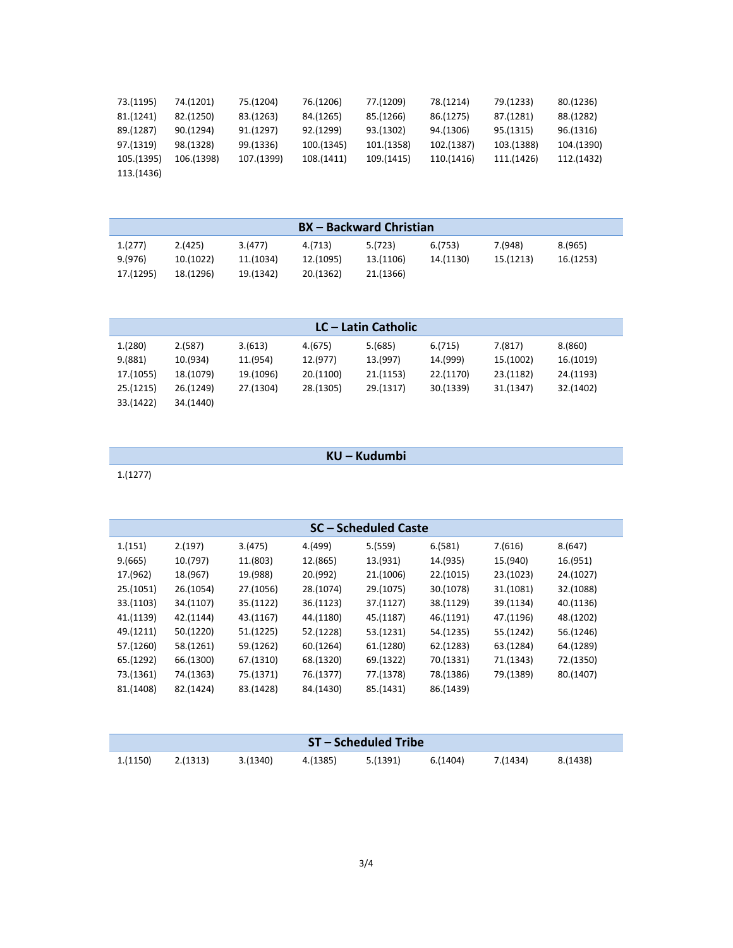| 73.(1195)  | 74.(1201)  | 75.(1204)  | 76.(1206)  | 77.(1209)  | 78.(1214)  | 79.(1233)  | 80.(1236)  |
|------------|------------|------------|------------|------------|------------|------------|------------|
| 81.(1241)  | 82.(1250)  | 83.(1263)  | 84.(1265)  | 85.(1266)  | 86.(1275)  | 87.(1281)  | 88.(1282)  |
| 89.(1287)  | 90.(1294)  | 91.(1297)  | 92.(1299)  | 93.(1302)  | 94.(1306)  | 95.(1315)  | 96.(1316)  |
| 97.(1319)  | 98.(1328)  | 99.(1336)  | 100.(1345) | 101.(1358) | 102.(1387) | 103.(1388) | 104.(1390) |
| 105.(1395) | 106.(1398) | 107.(1399) | 108.(1411) | 109.(1415) | 110.(1416) | 111.(1426) | 112.(1432) |
| 113.(1436) |            |            |            |            |            |            |            |

|           |           |           |           | <b>BX</b> – Backward Christian |           |           |           |
|-----------|-----------|-----------|-----------|--------------------------------|-----------|-----------|-----------|
| 1.(277)   | 2.(425)   | 3.(477)   | 4.(713)   | 5.(723)                        | 6.(753)   | 7.(948)   | 8.(965)   |
| 9.(976)   | 10.(1022) | 11.(1034) | 12.(1095) | 13.(1106)                      | 14.(1130) | 15.(1213) | 16.(1253) |
| 17.(1295) | 18.(1296) | 19.(1342) | 20.(1362) | 21.(1366)                      |           |           |           |

|           |           |           |           | LC – Latin Catholic |           |           |           |
|-----------|-----------|-----------|-----------|---------------------|-----------|-----------|-----------|
|           |           |           |           |                     |           |           |           |
| 1.(280)   | 2.(587)   | 3.(613)   | 4.(675)   | 5.(685)             | 6.(715)   | 7.(817)   | 8.(860)   |
| 9.(881)   | 10.(934)  | 11.(954)  | 12.(977)  | 13.(997)            | 14.(999)  | 15.(1002) | 16.(1019) |
| 17.(1055) | 18.(1079) | 19.(1096) | 20.(1100) | 21.(1153)           | 22.(1170) | 23.(1182) | 24.(1193) |
| 25.(1215) | 26.(1249) | 27.(1304) | 28.(1305) | 29.(1317)           | 30.(1339) | 31.(1347) | 32.(1402) |
| 33.(1422) | 34.(1440) |           |           |                     |           |           |           |

**KU – Kudumbi**

1.(1277)

| 2.(197)   | 3.(475)   | 4.(499)   | 5.(559)   | 6.(581)   | 7.(616)              | 8.(647)   |
|-----------|-----------|-----------|-----------|-----------|----------------------|-----------|
| 10.(797)  | 11.(803)  | 12.(865)  | 13.(931)  | 14.(935)  | 15.(940)             | 16.(951)  |
| 18.(967)  | 19.(988)  | 20.(992)  | 21.(1006) | 22.(1015) | 23.(1023)            | 24.(1027) |
| 26.(1054) | 27.(1056) | 28.(1074) | 29.(1075) | 30.(1078) | 31.(1081)            | 32.(1088) |
| 34.(1107) | 35.(1122) | 36.(1123) | 37.(1127) | 38.(1129) | 39.(1134)            | 40.(1136) |
| 42.(1144) | 43.(1167) | 44.(1180) | 45.(1187) | 46.(1191) | 47.(1196)            | 48.(1202) |
| 50.(1220) | 51.(1225) | 52.(1228) | 53.(1231) | 54.(1235) | 55.(1242)            | 56.(1246) |
| 58.(1261) | 59.(1262) | 60.(1264) | 61.(1280) | 62.(1283) | 63.(1284)            | 64.(1289) |
| 66.(1300) | 67.(1310) | 68.(1320) | 69.(1322) | 70.(1331) | 71.(1343)            | 72.(1350) |
| 74.(1363) | 75.(1371) | 76.(1377) | 77.(1378) | 78.(1386) | 79.(1389)            | 80.(1407) |
| 82.(1424) | 83.(1428) | 84.(1430) | 85.(1431) | 86.(1439) |                      |           |
|           |           |           |           |           | SC – Scheduled Caste |           |

|          |          |          |          | <b>ST-Scheduled Tribe</b> |          |          |          |
|----------|----------|----------|----------|---------------------------|----------|----------|----------|
| 1.(1150) | 2.(1313) | 3.(1340) | 4.(1385) | 5.(1391)                  | 6.(1404) | 7.(1434) | 8.(1438) |